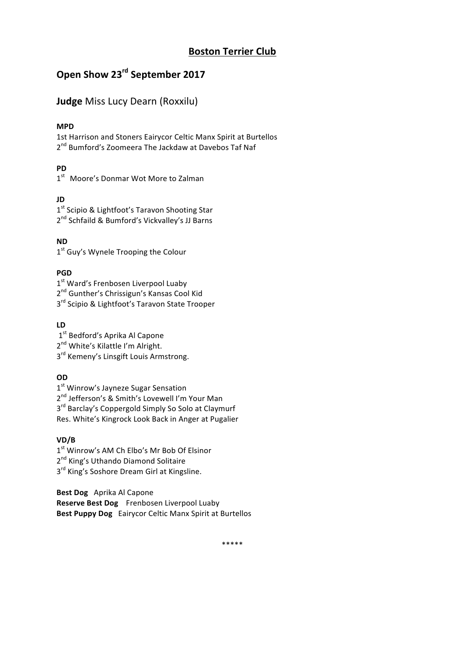# **Boston Terrier Club**

# **Open Show 23<sup>rd</sup> September 2017**

# **Judge** Miss Lucy Dearn (Roxxilu)

# **MPD**

1st Harrison and Stoners Eairycor Celtic Manx Spirit at Burtellos 2<sup>nd</sup> Bumford's Zoomeera The Jackdaw at Davebos Taf Naf

# **PD**

1<sup>st</sup> Moore's Donmar Wot More to Zalman

# **JD**

1<sup>st</sup> Scipio & Lightfoot's Taravon Shooting Star 2<sup>nd</sup> Schfaild & Bumford's Vickvalley's JJ Barns

**ND**

1<sup>st</sup> Guy's Wynele Trooping the Colour

# **PGD**

1<sup>st</sup> Ward's Frenbosen Liverpool Luaby

2<sup>nd</sup> Gunther's Chrissigun's Kansas Cool Kid

3<sup>rd</sup> Scipio & Lightfoot's Taravon State Trooper

# **LD**

1<sup>st</sup> Bedford's Aprika Al Capone

2<sup>nd</sup> White's Kilattle I'm Alright.

3<sup>rd</sup> Kemeny's Linsgift Louis Armstrong.

# **OD**

 $1<sup>st</sup>$  Winrow's Jayneze Sugar Sensation

2<sup>nd</sup> Jefferson's & Smith's Lovewell I'm Your Man

 $3<sup>rd</sup>$  Barclay's Coppergold Simply So Solo at Claymurf

Res. White's Kingrock Look Back in Anger at Pugalier

# **VD/B**

1<sup>st</sup> Winrow's AM Ch Elbo's Mr Bob Of Elsinor

2<sup>nd</sup> King's Uthando Diamond Solitaire

3<sup>rd</sup> King's Soshore Dream Girl at Kingsline.

**Best Dog** Aprika Al Capone **Reserve Best Dog** Frenbosen Liverpool Luaby **Best Puppy Dog** Eairycor Celtic Manx Spirit at Burtellos

\*\*\*\*\*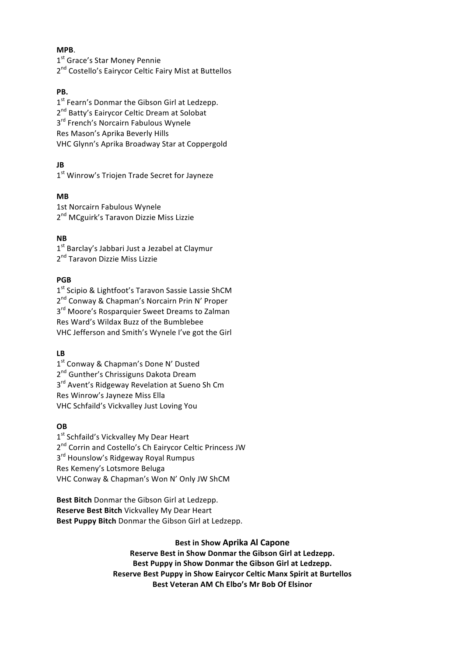# **MPB**.

1<sup>st</sup> Grace's Star Money Pennie 2<sup>nd</sup> Costello's Eairycor Celtic Fairy Mist at Buttellos

# **PB.**

 $1<sup>st</sup>$  Fearn's Donmar the Gibson Girl at Ledzepp. 2<sup>nd</sup> Batty's Eairycor Celtic Dream at Solobat 3<sup>rd</sup> French's Norcairn Fabulous Wynele Res Mason's Aprika Beverly Hills VHC Glynn's Aprika Broadway Star at Coppergold

# **JB**

1<sup>st</sup> Winrow's Triojen Trade Secret for Jayneze

# **MB**

1st Norcairn Fabulous Wynele 2<sup>nd</sup> MCguirk's Taravon Dizzie Miss Lizzie

# **NB**

 $1<sup>st</sup>$  Barclay's Jabbari Just a Jezabel at Claymur 2<sup>nd</sup> Taravon Dizzie Miss Lizzie

# **PGB**

1<sup>st</sup> Scipio & Lightfoot's Taravon Sassie Lassie ShCM 2<sup>nd</sup> Conway & Chapman's Norcairn Prin N' Proper  $3<sup>rd</sup>$  Moore's Rosparquier Sweet Dreams to Zalman Res Ward's Wildax Buzz of the Bumblebee VHC Jefferson and Smith's Wynele I've got the Girl

#### **LB**

1<sup>st</sup> Conway & Chapman's Done N' Dusted 2<sup>nd</sup> Gunther's Chrissiguns Dakota Dream  $3<sup>rd</sup>$  Avent's Ridgeway Revelation at Sueno Sh Cm Res Winrow's Jayneze Miss Ella VHC Schfaild's Vickvalley Just Loving You

# **OB**

1<sup>st</sup> Schfaild's Vickvalley My Dear Heart 2<sup>nd</sup> Corrin and Costello's Ch Eairycor Celtic Princess JW  $3<sup>rd</sup>$  Hounslow's Ridgeway Royal Rumpus Res Kemeny's Lotsmore Beluga VHC Conway & Chapman's Won N' Only JW ShCM

**Best Bitch** Donmar the Gibson Girl at Ledzepp. **Reserve Best Bitch Vickvalley My Dear Heart Best Puppy Bitch** Donmar the Gibson Girl at Ledzepp.

# **Best in Show Aprika Al Capone**

Reserve Best in Show Donmar the Gibson Girl at Ledzepp. Best Puppy in Show Donmar the Gibson Girl at Ledzepp. **Reserve Best Puppy in Show Eairycor Celtic Manx Spirit at Burtellos Best Veteran AM Ch Elbo's Mr Bob Of Elsinor**